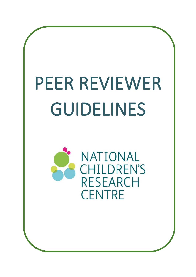# PEER REVIEWER GUIDELINES

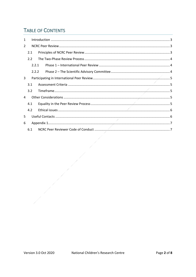# **TABLE OF CONTENTS**

| 1             |       |  |  |
|---------------|-------|--|--|
| $\mathcal{L}$ |       |  |  |
|               | 2.1   |  |  |
|               | 2.2   |  |  |
|               | 2.2.1 |  |  |
|               | 2.2.2 |  |  |
| 3             |       |  |  |
|               | 3.1   |  |  |
|               | 3.2   |  |  |
| 4             |       |  |  |
|               | 4.1   |  |  |
|               | 4.2   |  |  |
| 5             |       |  |  |
| 6             |       |  |  |
|               | 6.1   |  |  |

D

 $\overline{\phantom{a}}$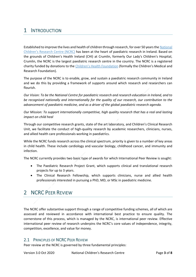# <span id="page-2-0"></span>1 INTRODUCTION

Established to improve the lives and health of children through research, for over 50 years th[e National](http://www.nationalchildrensresearchcentre.ie/)  [Children's Research Centre \(NCRC\)](http://www.nationalchildrensresearchcentre.ie/) has been at the heart of paediatric research in Ireland. Based on the grounds of Children's Health Ireland (CHI) at Crumlin, formerly Our Lady's Children's Hospital, Crumlin, the NCRC is the largest paediatric research centre in the country. The NCRC is a registered charity funded by donations to the [Children's Health Foundation](https://cmrf.org/) (formally the Children's Medical and Research Foundation).

The purpose of the NCRC is to enable, grow, and sustain a paediatric research community in Ireland and we do this by providing a framework of supports around which research and researchers can flourish.

*Our Vision: To be the National Centre for paediatric research and research education in Ireland, and to be recognised nationally and internationally for the quality of our research, our contribution to the advancement of paediatric medicine, and as a driver of the global paediatric research agenda.* 

*Our Mission: To support internationally competitive, high quality research that has a real and lasting impact on child heal* 

Through our competitive research grants, state of the art laboratory, and Children's Clinical Research Unit, we facilitate the conduct of high-quality research by academic researchers, clinicians, nurses, and allied health care professionals working in paediatrics.

While the NCRC funds research across the clinical spectrum, priority is given to a number of key areas in child health. These include cardiology and vascular biology, childhood cancer, and immunity and infection.

The NCRC currently provides two basic type of awards for which International Peer Review is sought:

- The Paediatric Research Project Grant, which supports clinical and translational research projects for up to 3 years.
- The Clinical Research Fellowship, which supports clinicians, nurse and allied health professionals interested in pursuing a PhD, MD, or MSc in paediatric medicine.

## <span id="page-2-1"></span>2 NCRC PFFR REVIEW

The NCRC offer substantive support through a range of competitive funding schemes, all of which are assessed and reviewed in accordance with international best practice to ensure quality. The cornerstone of this process, which is managed by the NCRC, is international peer review. Effective international peer review of research underpins the NCRC's core values of independence, integrity, competition, excellence, and value for money.

#### <span id="page-2-2"></span>2.1 PRINCIPLES OF NCRC PEER REVIEW

Peer review at the NCRC is governed by three fundamental principles: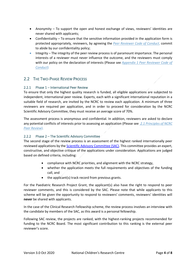- Anonymity To support the open and honest exchange of views, reviewers' identities are never shared with applicants;
- Confidentiality To ensure that the sensitive information provided in the application form is protected appropriately, reviewers, by agreeing the *[Peer Reviewer Code of Conduct](#page-6-0)*, commit to abide by our confidentiality policy;
- Integrity The integrity of the peer review process is of paramount importance. The personal interests of a reviewer must never influence the outcome, and the reviewers must comply with our policy on the declaration of interests (Please see *[Appendix 1 Peer Reviewer Code of](#page-6-0)  [Conduct](#page-6-0)*)

## <span id="page-3-0"></span>2.2 THE TWO-PHASE REVIEW PROCESS

#### <span id="page-3-1"></span>2.2.1 Phase 1 – International Peer Review

To ensure that only the highest quality research is funded, all eligible applications are subjected to independent, international peer review. Experts, each with a significant international reputation in a suitable field of research, are invited by the NCRC to review each application. A minimum of three reviewers are required per application, and in order to proceed for consideration by the NCRC Scientific Advisory Committee, they must receive an average score of 70%.

The assessment process is anonymous and confidential. In addition, reviewers are asked to declare any potential conflicts of interests prior to assessing an application (Please see *[2.1 Principles of NCRC](#page-4-3)  [Peer Review](#page-4-3)*).

#### <span id="page-3-2"></span>2.2.2 Phase 2 – The Scientific Advisory Committee

The second stage of the review process is an assessment of the highest ranked internationally peer reviewed applications by the [Scientific Advisory Committee \(SAC\).](http://www.nationalchildrensresearchcentre.ie/our-team/scientific-advisory-committee/) This committee provides an expert, constructive, and objective critique of the applications under consideration. Applications are judged based on defined criteria, including:

- compliance with NCRC priorities, and alignment with the NCRC strategy,
- whether the application meets the full requirements and objectives of the funding call, and
- the applicant(s) track record from previous grants.

For the Paediatric Research Project Grant, the applicant(s) also have the right to respond to peer reviewer comments, and this is considered by the SAC. Please note that while applicants to this scheme will be given the opportunity to respond to reviewers' comments, reviewers' identities will **never** be shared with applicants.

In the case of the Clinical Research Fellowship scheme, the review process involves an interview with the candidate by members of the SAC, as this award is a personal fellowship.

Following SAC review, the projects are ranked, with the highest-ranking projects recommended for funding to the NCRC Board. The most significant contribution to this ranking is the external peer reviewer's score.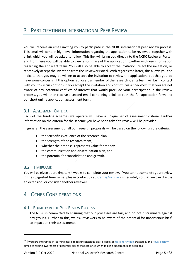<span id="page-4-0"></span>You will receive an email inviting you to participate in the NCRC international peer review process. This email will contain high-level information regarding the application to be reviewed, together with a link which you will be asked to follow. This link will bring you directly to the NCRC Reviewer Portal, and from here you will be able to view a summary of the application together with key information regarding the applicant team. You will also be able to accept the invitation, reject the invitation, or tentatively accept the invitation from the Reviewer Portal. With regards the latter, this allows you the indicate that you may be willing to accept the invitation to review the application, but that you do have some concerns; if this option is chosen, a member of the research grants team will be in contact with you to discuss options. If you accept the invitation and confirm, via a checkbox, that you are not aware of any potential conflicts of interest that would preclude your participation in the review process, you will then receive a second email containing a link to both the full application form and our short online application assessment form.

## <span id="page-4-1"></span>3.1 ASSESSMENT CRITERIA

Each of the funding schemes we operate will have a unique set of assessment criteria. Further information on the criteria for the scheme you have been asked to review will be provided.

In general, the assessment of all our research proposals will be based on the following core criteria:

- the scientific excellence of the research plan,
- the strength of the research team,
- whether the proposal represents value for money,
- the communication and dissemination plan, and
- the potential for consolidation and growth.

## <span id="page-4-2"></span>3.2 TIMEFRAME

You will be given approximately 4 weeks to complete your review. If you cannot complete your review in the suggested timeframe, please contact us at  $grants@ncrc.ie$  immediately so that we can discuss an extension, or consider another reviewer.

# <span id="page-4-3"></span>4 OTHER CONSIDERATIONS

## <span id="page-4-4"></span>4.1 EQUALITY IN THE PEER REVIEW PROCESS

The NCRC is committed to ensuring that our processes are fair, and do not discriminate against any groups. Further to this, we ask reviewers to be aware of the potential for unconscious bias<sup>1</sup> to impact on their assessments.

<sup>&</sup>lt;sup>11</sup> If you are interested in learning more about unconscious bias, please see **this short video** created by the **Royal Society** aimed at raising awareness of potential biases that can arise when making judgements or decisions.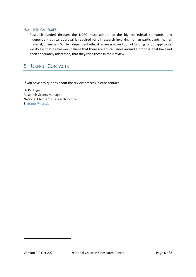#### <span id="page-5-0"></span>4.2 ETHICAL ISSUES

Research funded through the NCRC must adhere to the highest ethical standards, and independent ethical approval is required for all research involving human participants, human material, or animals. While independent ethical review is a condition of funding for our applicants, we do ask that if reviewers believe that there are ethical issues around a proposal that have not been adequately addressed, that they raise these in their review.

# <span id="page-5-1"></span>5 USEFUL CONTACTS

If you have any queries about the review process, please contact

Dr Karl Egan Research Grants Manager National Children's Research Centre E: [grants@ncrc.ie](mailto:grants@ncrc.ie)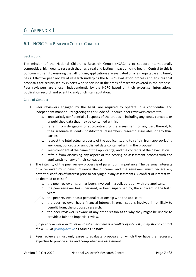## <span id="page-6-1"></span><span id="page-6-0"></span>6.1 NCRC PEER REVIEWER CODE OF CONDUCT

#### Background

The mission of the National Children's Research Centre (NCRC) is to support internationally competitive, high quality research that has a real and lasting impact on child health. Central to this is our commitment to ensuring that all funding applications are evaluated on a fair, equitable and timely basis. Effective peer review of research underpins the NCRC's evaluation process and ensures that proposals are scrutinised by experts who specialise in the areas of research covered in the proposal. Peer reviewers are chosen independently by the NCRC based on their expertise, international publication record, and scientific and/or clinical reputation.

#### Code of Conduct

- 1. Peer reviewers engaged by the NCRC are required to operate in a confidential and independent manner. By agreeing to this Code of Conduct, peer reviewers commit to:
	- a. keep strictly confidential all aspects of the proposal, including any ideas, concepts or unpublished data that may be contained within.
	- b. refrain from delegating or sub-contracting the assessment, or any part thereof, to their graduate students, postdoctoral researchers, research associates, or any third parties.
	- c. respect the intellectual property of the applicants, and to refrain from appropriating any ideas, concepts or unpublished data contained within the proposal.
	- d. keep confidential the name of the applicant(s) and the contents of their evaluation.
	- e. refrain from discussing any aspect of the scoring or assessment process with the applicant(s) or any of their colleagues.
- 2. The integrity of the peer review process is of paramount importance. The personal interests of a reviewer must never influence the outcome, and the reviewers must declare any **potential conflicts of interest** prior to carrying out any assessments. A conflict of interest will be deemed to exist if
	- a. the peer reviewer is, or has been, involved in a collaboration with the applicant.
	- b. the peer reviewer has supervised, or been supervised by, the applicant in the last 5 years.
	- c. the peer reviewer has a personal relationship with the applicant.
	- d. the peer reviewer has a financial interest in organisations involved in, or likely to benefit from, the proposed research.
	- e. the peer reviewer is aware of any other reason as to why they might be unable to provide a fair and impartial review.

*If a peer reviewer is in doubt as to whether there is a conflict of interests, they should contact the NCRC at [grant@ncrc.ie](mailto:grant@ncrc.ie) as soon as possible.*

3. Peer reviewers must only agree to evaluate proposals for which they have the necessary expertise to provide a fair and comprehensive assessment.